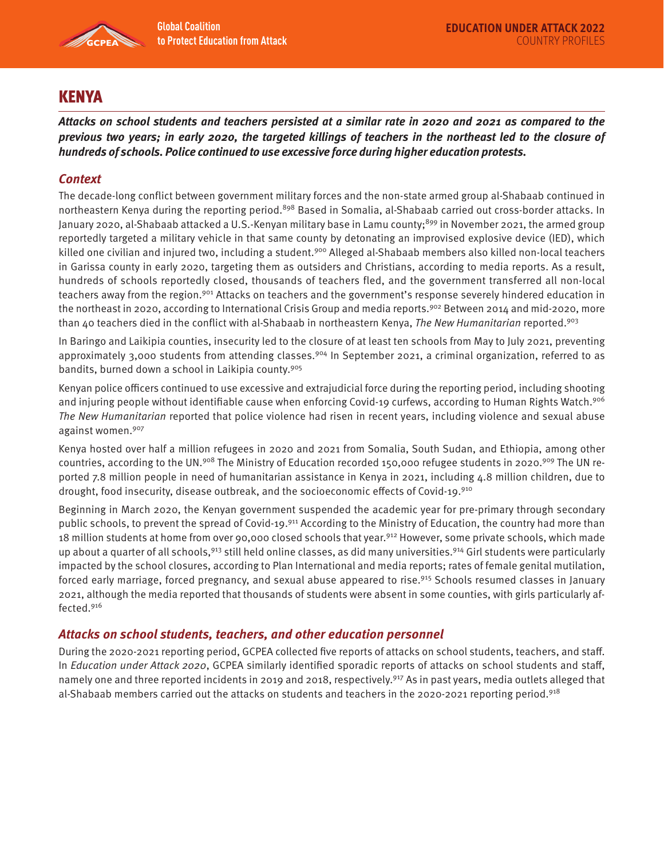

# **KENYA**

**Attacks on school students and teachers persisted at a similar rate in 2020 and 2021 as compared to the previous two years; in early 2020, the targeted killings of teachers in the northeast led to the closure of hundreds of schools. Police continued to use excessive force during higher education protests.** 

## **Context**

The decade-long conflict between government military forces and the non-state armed group al-Shabaab continued in northeastern Kenya during the reporting period.<sup>898</sup> Based in Somalia, al-Shabaab carried out cross-border attacks. In January 2020, al-Shabaab attacked a U.S.-Kenyan military base in Lamu county;<sup>899</sup> in November 2021, the armed group reportedly targeted a military vehicle in that same county by detonating an improvised explosive device (IED), which killed one civilian and injured two, including a student.<sup>900</sup> Alleged al-Shabaab members also killed non-local teachers in Garissa county in early 2020, targeting them as outsiders and Christians, according to media reports. As a result, hundreds of schools reportedly closed, thousands of teachers fled, and the government transferred all non-local teachers away from the region.901 Attacks on teachers and the government's response severely hindered education in the northeast in 2020, according to International Crisis Group and media reports.<sup>902</sup> Between 2014 and mid-2020, more than 40 teachers died in the conflict with al-Shabaab in northeastern Kenya, The New Humanitarian reported.<sup>903</sup>

In Baringo and Laikipia counties, insecurity led to the closure of at least ten schools from May to July 2021, preventing approximately 3,000 students from attending classes.<sup>904</sup> In September 2021, a criminal organization, referred to as bandits, burned down a school in Laikipia county.<sup>905</sup>

Kenyan police officers continued to use excessive and extrajudicial force during the reporting period, including shooting and injuring people without identifiable cause when enforcing Covid-19 curfews, according to Human Rights Watch.906 The New Humanitarian reported that police violence had risen in recent years, including violence and sexual abuse against women.907

Kenya hosted over half a million refugees in 2020 and 2021 from Somalia, South Sudan, and Ethiopia, among other countries, according to the UN.<sup>908</sup> The Ministry of Education recorded 150,000 refugee students in 2020.<sup>909</sup> The UN reported 7.8 million people in need of humanitarian assistance in Kenya in 2021, including 4.8 million children, due to drought, food insecurity, disease outbreak, and the socioeconomic effects of Covid-19.910

Beginning in March 2020, the Kenyan government suspended the academic year for pre-primary through secondary public schools, to prevent the spread of Covid-19.911 According to the Ministry of Education, the country had more than 18 million students at home from over 90,000 closed schools that year.912 However, some private schools, which made up about a quarter of all schools,  $913$  still held online classes, as did many universities.  $914$  Girl students were particularly impacted by the school closures, according to Plan International and media reports; rates of female genital mutilation, forced early marriage, forced pregnancy, and sexual abuse appeared to rise.915 Schools resumed classes in January 2021, although the media reported that thousands of students were absent in some counties, with girls particularly affected.916

### **Attacks on school students, teachers, and other education personnel**

During the 2020-2021 reporting period, GCPEA collected five reports of attacks on school students, teachers, and staff. In Education under Attack 2020, GCPEA similarly identified sporadic reports of attacks on school students and staff, namely one and three reported incidents in 2019 and 2018, respectively.917 As in past years, media outlets alleged that al-Shabaab members carried out the attacks on students and teachers in the 2020-2021 reporting period.<sup>918</sup>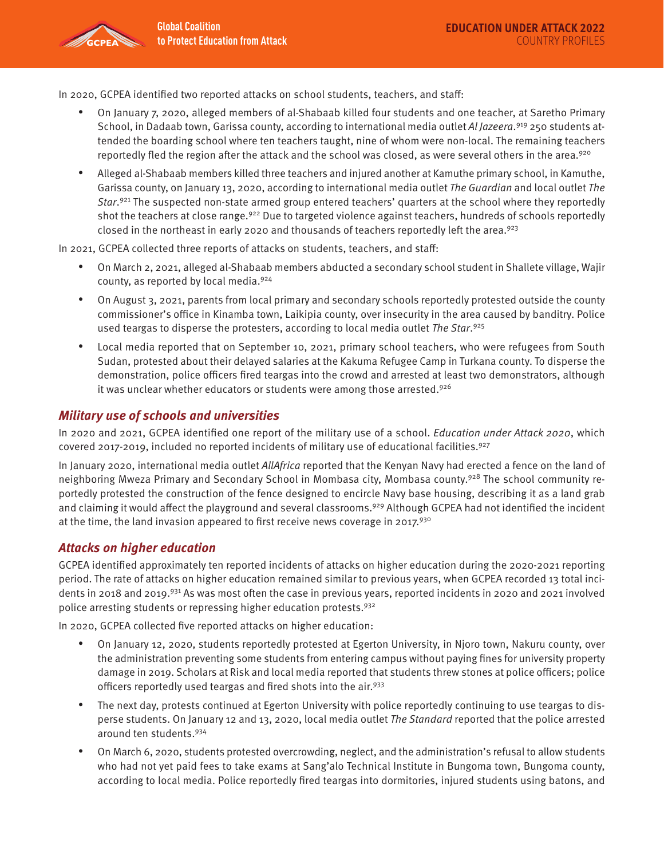In 2020, GCPEA identified two reported attacks on school students, teachers, and staff:

- On January 7, 2020, alleged members of al-Shabaab killed four students and one teacher, at Saretho Primary School, in Dadaab town, Garissa county, according to international media outlet Al Jazeera.<sup>919</sup> 250 students attended the boarding school where ten teachers taught, nine of whom were non-local. The remaining teachers reportedly fled the region after the attack and the school was closed, as were several others in the area.<sup>920</sup>
- Alleged al-Shabaab members killed three teachers and injured another at Kamuthe primary school, in Kamuthe, Garissa county, on January 13, 2020, according to international media outlet The Guardian and local outlet The Star.<sup>921</sup> The suspected non-state armed group entered teachers' quarters at the school where they reportedly shot the teachers at close range.<sup>922</sup> Due to targeted violence against teachers, hundreds of schools reportedly closed in the northeast in early 2020 and thousands of teachers reportedly left the area.<sup>923</sup>

In 2021, GCPEA collected three reports of attacks on students, teachers, and staff:

- On March 2, 2021, alleged al-Shabaab members abducted a secondary school student in Shallete village, Wajir county, as reported by local media.<sup>924</sup>
- On August 3, 2021, parents from local primary and secondary schools reportedly protested outside the county commissioner's office in Kinamba town, Laikipia county, over insecurity in the area caused by banditry. Police used teargas to disperse the protesters, according to local media outlet The Star.925
- Local media reported that on September 10, 2021, primary school teachers, who were refugees from South Sudan, protested about their delayed salaries at the Kakuma Refugee Camp in Turkana county. To disperse the demonstration, police officers fired teargas into the crowd and arrested at least two demonstrators, although it was unclear whether educators or students were among those arrested.926

### **Military use of schools and universities**

In 2020 and 2021, GCPEA identified one report of the military use of a school. Education under Attack 2020, which covered 2017-2019, included no reported incidents of military use of educational facilities.<sup>927</sup>

In January 2020, international media outlet AllAfrica reported that the Kenyan Navy had erected a fence on the land of neighboring Mweza Primary and Secondary School in Mombasa city, Mombasa county.<sup>928</sup> The school community reportedly protested the construction of the fence designed to encircle Navy base housing, describing it as a land grab and claiming it would affect the playground and several classrooms.<sup>929</sup> Although GCPEA had not identified the incident at the time, the land invasion appeared to first receive news coverage in 2017.930

#### **Attacks on higher education**

GCPEA identified approximately ten reported incidents of attacks on higher education during the 2020-2021 reporting period. The rate of attacks on higher education remained similar to previous years, when GCPEA recorded 13 total incidents in 2018 and 2019.931 As was most often the case in previous years, reported incidents in 2020 and 2021 involved police arresting students or repressing higher education protests.<sup>932</sup>

In 2020, GCPEA collected five reported attacks on higher education:

- On January 12, 2020, students reportedly protested at Egerton University, in Njoro town, Nakuru county, over the administration preventing some students from entering campus without paying fines for university property damage in 2019. Scholars at Risk and local media reported that students threw stones at police officers; police officers reportedly used teargas and fired shots into the air.<sup>933</sup>
- The next day, protests continued at Egerton University with police reportedly continuing to use teargas to disperse students. On January 12 and 13, 2020, local media outlet The Standard reported that the police arrested around ten students.934
- On March 6, 2020, students protested overcrowding, neglect, and the administration's refusal to allow students who had not yet paid fees to take exams at Sang'alo Technical Institute in Bungoma town, Bungoma county, according to local media. Police reportedly fired teargas into dormitories, injured students using batons, and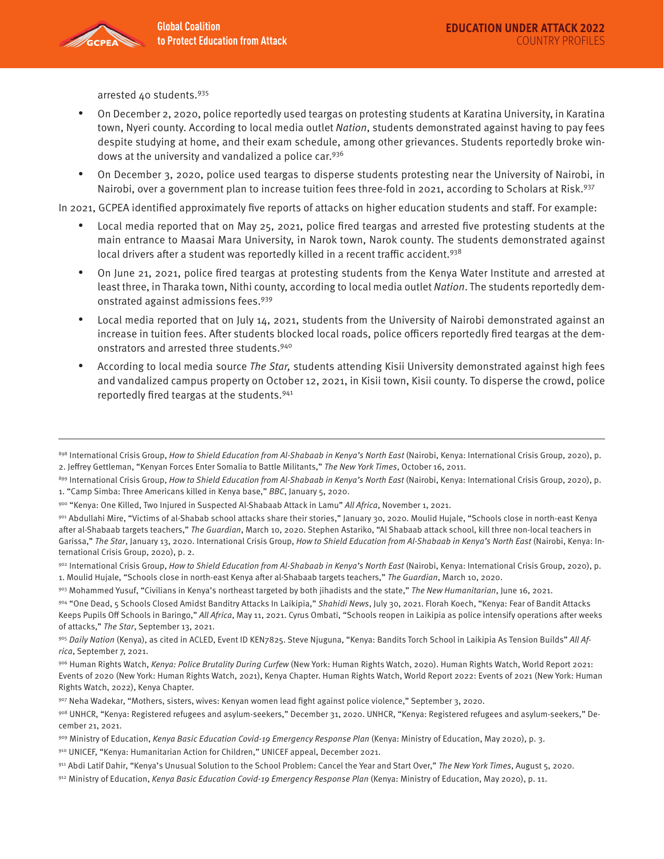arrested 40 students.935

- On December 2, 2020, police reportedly used teargas on protesting students at Karatina University, in Karatina town, Nyeri county. According to local media outlet Nation, students demonstrated against having to pay fees despite studying at home, and their exam schedule, among other grievances. Students reportedly broke windows at the university and vandalized a police car.<sup>936</sup>
- On December 3, 2020, police used teargas to disperse students protesting near the University of Nairobi, in Nairobi, over a government plan to increase tuition fees three-fold in 2021, according to Scholars at Risk.<sup>937</sup>

In 2021, GCPEA identified approximately five reports of attacks on higher education students and staff. For example:

- Local media reported that on May 25, 2021, police fired teargas and arrested five protesting students at the main entrance to Maasai Mara University, in Narok town, Narok county. The students demonstrated against local drivers after a student was reportedly killed in a recent traffic accident.<sup>938</sup>
- On June 21, 2021, police fired teargas at protesting students from the Kenya Water Institute and arrested at least three, in Tharaka town, Nithi county, according to local media outlet Nation. The students reportedly demonstrated against admissions fees.939
- Local media reported that on July 14, 2021, students from the University of Nairobi demonstrated against an increase in tuition fees. After students blocked local roads, police officers reportedly fired teargas at the demonstrators and arrested three students.940
- According to local media source The Star, students attending Kisii University demonstrated against high fees and vandalized campus property on October 12, 2021, in Kisii town, Kisii county. To disperse the crowd, police reportedly fired teargas at the students.941

- 911 Abdi Latif Dahir, "Kenya's Unusual Solution to the School Problem: Cancel the Year and Start Over," The New York Times, August 5, 2020.
- $912$  Ministry of Education, Kenya Basic Education Covid-19 Emergency Response Plan (Kenya: Ministry of Education, May 2020), p. 11.

<sup>898</sup> International Crisis Group, How to Shield Education from Al-Shabaab in Kenya's North East (Nairobi, Kenya: International Crisis Group, 2020), p. 2. Jeffrey Gettleman, "Kenyan Forces Enter Somalia to Battle Militants," The New York Times, October 16, 2011.

<sup>899</sup> International Crisis Group, How to Shield Education from Al-Shabaab in Kenya's North East (Nairobi, Kenya: International Crisis Group, 2020), p. 1. "Camp Simba: Three Americans killed in Kenya base," BBC, January 5, 2020.

<sup>900 &</sup>quot;Kenya: One Killed, Two Injured in Suspected Al-Shabaab Attack in Lamu" All Africa, November 1, 2021.

<sup>901</sup> Abdullahi Mire, "Victims of al-Shabab school attacks share their stories," January 30, 2020. Moulid Hujale, "Schools close in north-east Kenya after al-Shabaab targets teachers," The Guardian, March 10, 2020. Stephen Astariko, "Al Shabaab attack school, kill three non-local teachers in Garissa," The Star, January 13, 2020. International Crisis Group, How to Shield Education from Al-Shabaab in Kenya's North East (Nairobi, Kenya: International Crisis Group, 2020), p. 2.

<sup>902</sup> International Crisis Group, How to Shield Education from Al-Shabaab in Kenya's North East (Nairobi, Kenya: International Crisis Group, 2020), p. 1. Moulid Hujale, "Schools close in north-east Kenya after al-Shabaab targets teachers," The Guardian, March 10, 2020.

<sup>903</sup> Mohammed Yusuf, "Civilians in Kenya's northeast targeted by both jihadists and the state," The New Humanitarian, June 16, 2021.

<sup>904 &</sup>quot;One Dead, 5 Schools Closed Amidst Banditry Attacks In Laikipia," Shahidi News, July 30, 2021. Florah Koech, "Kenya: Fear of Bandit Attacks Keeps Pupils Off Schools in Baringo," All Africa, May 11, 2021. Cyrus Ombati, "Schools reopen in Laikipia as police intensify operations after weeks of attacks," The Star, September 13, 2021.

<sup>905</sup> Daily Nation (Kenya), as cited in ACLED, Event ID KEN7825. Steve Njuguna, "Kenya: Bandits Torch School in Laikipia As Tension Builds" All Africa, September 7, 2021.

<sup>906</sup> Human Rights Watch, Kenya: Police Brutality During Curfew (New York: Human Rights Watch, 2020). Human Rights Watch, World Report 2021: Events of 2020 (New York: Human Rights Watch, 2021), Kenya Chapter. Human Rights Watch, World Report 2022: Events of 2021 (New York: Human Rights Watch, 2022), Kenya Chapter.

<sup>907</sup> Neha Wadekar, "Mothers, sisters, wives: Kenyan women lead fight against police violence," September 3, 2020.

<sup>908</sup> UNHCR, "Kenya: Registered refugees and asylum-seekers," December 31, 2020. UNHCR, "Kenya: Registered refugees and asylum-seekers," December 21, 2021.

<sup>909</sup> Ministry of Education, Kenya Basic Education Covid-19 Emergency Response Plan (Kenya: Ministry of Education, May 2020), p. 3.

<sup>910</sup> UNICEF, "Kenya: Humanitarian Action for Children," UNICEF appeal, December 2021.